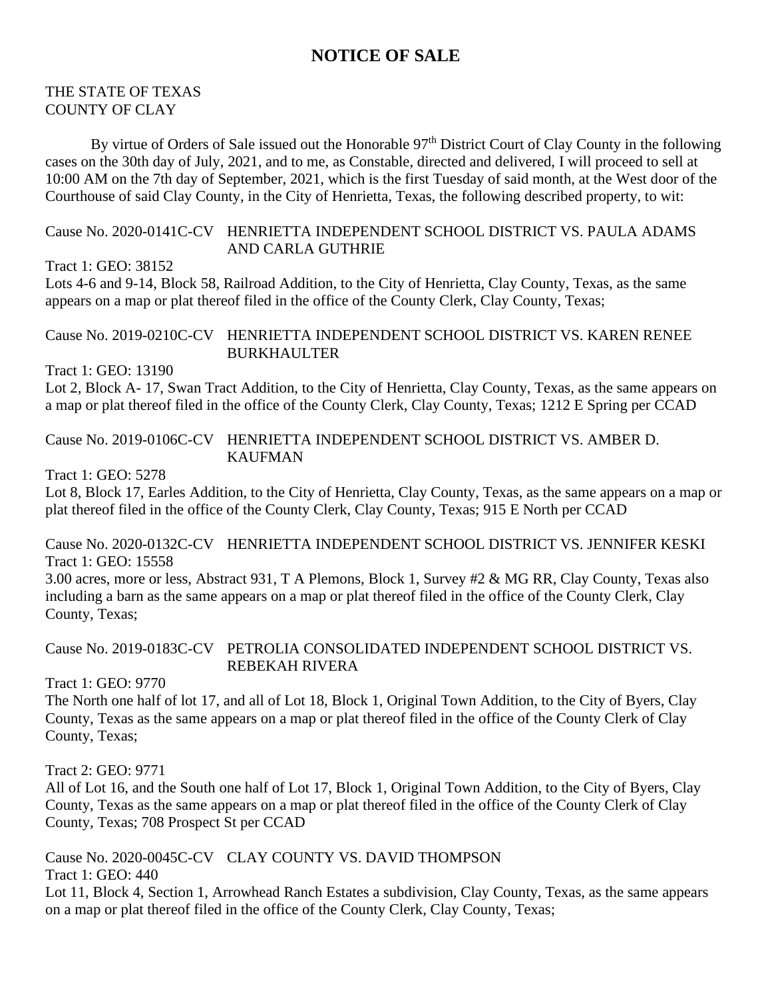# **NOTICE OF SALE**

#### THE STATE OF TEXAS COUNTY OF CLAY

By virtue of Orders of Sale issued out the Honorable 97<sup>th</sup> District Court of Clay County in the following cases on the 30th day of July, 2021, and to me, as Constable, directed and delivered, I will proceed to sell at 10:00 AM on the 7th day of September, 2021, which is the first Tuesday of said month, at the West door of the Courthouse of said Clay County, in the City of Henrietta, Texas, the following described property, to wit:

### Cause No. 2020-0141C-CV HENRIETTA INDEPENDENT SCHOOL DISTRICT VS. PAULA ADAMS AND CARLA GUTHRIE

Tract 1: GEO: 38152

Lots 4-6 and 9-14, Block 58, Railroad Addition, to the City of Henrietta, Clay County, Texas, as the same appears on a map or plat thereof filed in the office of the County Clerk, Clay County, Texas;

## Cause No. 2019-0210C-CV HENRIETTA INDEPENDENT SCHOOL DISTRICT VS. KAREN RENEE BURKHAULTER

Tract 1: GEO: 13190

Lot 2, Block A- 17, Swan Tract Addition, to the City of Henrietta, Clay County, Texas, as the same appears on a map or plat thereof filed in the office of the County Clerk, Clay County, Texas; 1212 E Spring per CCAD

Cause No. 2019-0106C-CV HENRIETTA INDEPENDENT SCHOOL DISTRICT VS. AMBER D. KAUFMAN

Tract 1: GEO: 5278

Lot 8, Block 17, Earles Addition, to the City of Henrietta, Clay County, Texas, as the same appears on a map or plat thereof filed in the office of the County Clerk, Clay County, Texas; 915 E North per CCAD

Cause No. 2020-0132C-CV HENRIETTA INDEPENDENT SCHOOL DISTRICT VS. JENNIFER KESKI Tract 1: GEO: 15558

3.00 acres, more or less, Abstract 931, T A Plemons, Block 1, Survey #2 & MG RR, Clay County, Texas also including a barn as the same appears on a map or plat thereof filed in the office of the County Clerk, Clay County, Texas;

Cause No. 2019-0183C-CV PETROLIA CONSOLIDATED INDEPENDENT SCHOOL DISTRICT VS. REBEKAH RIVERA

Tract 1: GEO: 9770

The North one half of lot 17, and all of Lot 18, Block 1, Original Town Addition, to the City of Byers, Clay County, Texas as the same appears on a map or plat thereof filed in the office of the County Clerk of Clay County, Texas;

Tract 2: GEO: 9771

All of Lot 16, and the South one half of Lot 17, Block 1, Original Town Addition, to the City of Byers, Clay County, Texas as the same appears on a map or plat thereof filed in the office of the County Clerk of Clay County, Texas; 708 Prospect St per CCAD

Cause No. 2020-0045C-CV CLAY COUNTY VS. DAVID THOMPSON

Tract 1: GEO: 440

Lot 11, Block 4, Section 1, Arrowhead Ranch Estates a subdivision, Clay County, Texas, as the same appears on a map or plat thereof filed in the office of the County Clerk, Clay County, Texas;